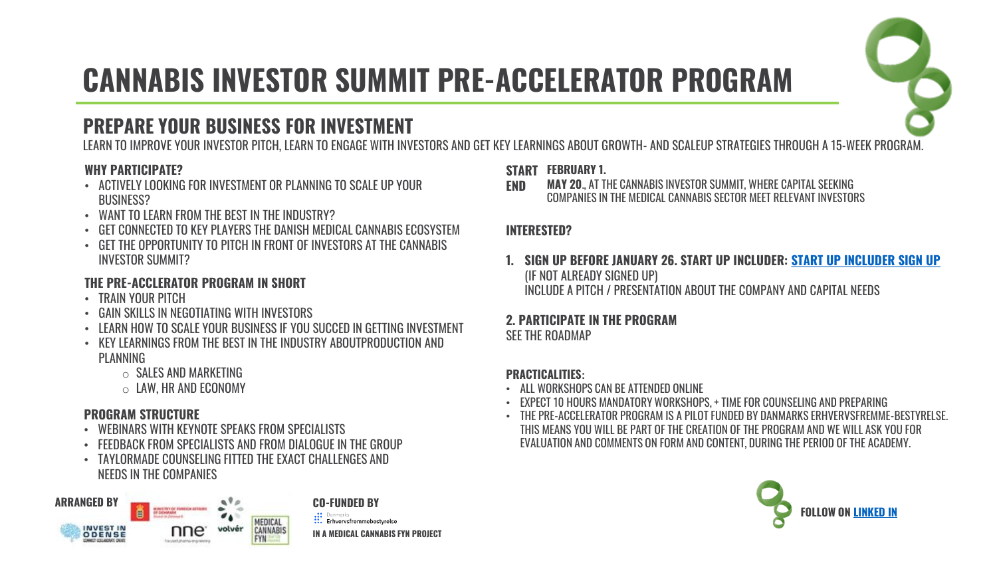

# **CANNABIS INVESTOR SUMMIT PRE-ACCELERATOR PROGRAM**

### **PREPARE YOUR BUSINESS FOR INVESTMENT**

LEARN TO IMPROVE YOUR INVESTOR PITCH, LEARN TO ENGAGE WITH INVESTORS AND GET KEY LEARNINGS ABOUT GROWTH- AND SCALEUP STRATEGIES THROUGH A 15-WEEK PROGRAM.

#### **WHY PARTICIPATE?**

- ACTIVELY LOOKING FOR INVESTMENT OR PLANNING TO SCALE UP YOUR BUSINESS?
- WANT TO LEARN FROM THE BEST IN THE INDUSTRY?
- GET CONNECTED TO KEY PLAYERS THE DANISH MEDICAL CANNABIS ECOSYSTEM
- GET THE OPPORTUNITY TO PITCH IN FRONT OF INVESTORS AT THE CANNABIS INVESTOR SUMMIT?

#### **THE PRE-ACCLERATOR PROGRAM IN SHORT**

- TRAIN YOUR PITCH
- GAIN SKILLS IN NEGOTIATING WITH INVESTORS
- LEARN HOW TO SCALE YOUR BUSINESS IF YOU SUCCED IN GETTING INVESTMENT
- KEY LEARNINGS FROM THE BEST IN THE INDUSTRY ABOUTPRODUCTION AND **PLANNING** 
	- $\circ$  SALES AND MARKETING
	- $\circ$  LAW, HR AND ECONOMY

#### **PROGRAM STRUCTURE**

- WEBINARS WITH KEYNOTE SPEAKS FROM SPECIALISTS
- FEEDBACK FROM SPECIALISTS AND FROM DIALOGUE IN THE GROUP
- TAYLORMADE COUNSELING FITTED THE EXACT CHALLENGES AND
	- NEEDS IN THE COMPANIES



**START FEBRUARY 1.**

**END MAY 20**., AT THE CANNABIS INVESTOR SUMMIT, WHERE CAPITAL SEEKING COMPANIES IN THE MEDICAL CANNABIS SECTOR MEET RELEVANT INVESTORS

#### **INTERESTED?**

**1. SIGN UP BEFORE JANUARY 26. START UP INCLUDER: [START UP INCLUDER SIGN UP](https://startupincluder.com/#/company/application/new/25942/70c3ptxyjafb1muhfuvkhfmzfmrfsati)**  (IF NOT ALREADY SIGNED UP) INCLUDE A PITCH / PRESENTATION ABOUT THE COMPANY AND CAPITAL NEEDS

#### **2. PARTICIPATE IN THE PROGRAM**

SEE THE ROADMAP

#### **PRACTICALITIES:**

- ALL WORKSHOPS CAN BE ATTENDED ONLINE
- EXPECT 10 HOURS MANDATORY WORKSHOPS, + TIME FOR COUNSELING AND PREPARING
- THE PRE-ACCELERATOR PROGRAM IS A PILOT FUNDED BY DANMARKS ERHVERVSFREMME-BESTYRELSE. THIS MEANS YOU WILL BE PART OF THE CREATION OF THE PROGRAM AND WE WILL ASK YOU FOR EVALUATION AND COMMENTS ON FORM AND CONTENT, DURING THE PERIOD OF THE ACADEMY.